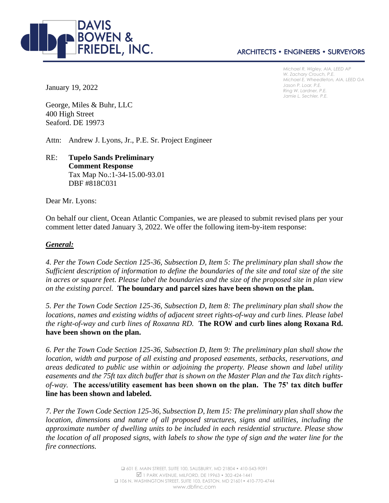

# **ARCHITECTS • ENGINEERS • SURVEYORS**

*Michael R. Wigley, AIA, LEED AP W. Zachary Crouch, P.E. Michael E. Wheedleton, AIA, LEED GA Jason P. Loar, P.E. Ring W. Lardner, P.E. Jamie L. Sechler, P.E.*

January 19, 2022

George, Miles & Buhr, LLC 400 High Street Seaford. DE 19973

Attn: Andrew J. Lyons, Jr., P.E. Sr. Project Engineer

## RE: **Tupelo Sands Preliminary Comment Response** Tax Map No.:1-34-15.00-93.01 DBF #818C031

Dear Mr. Lyons:

On behalf our client, Ocean Atlantic Companies, we are pleased to submit revised plans per your comment letter dated January 3, 2022. We offer the following item-by-item response:

#### *General:*

*4. Per the Town Code Section 125-36, Subsection D, Item 5: The preliminary plan shall show the Sufficient description of information to define the boundaries of the site and total size of the site in acres or square feet. Please label the boundaries and the size of the proposed site in plan view on the existing parcel.* **The boundary and parcel sizes have been shown on the plan.**

*5. Per the Town Code Section 125-36, Subsection D, Item 8: The preliminary plan shall show the locations, names and existing widths of adjacent street rights-of-way and curb lines. Please label the right-of-way and curb lines of Roxanna RD.* **The ROW and curb lines along Roxana Rd. have been shown on the plan.**

*6. Per the Town Code Section 125-36, Subsection D, Item 9: The preliminary plan shall show the location, width and purpose of all existing and proposed easements, setbacks, reservations, and areas dedicated to public use within or adjoining the property. Please shown and label utility easements and the 75ft tax ditch buffer that is shown on the Master Plan and the Tax ditch rightsof-way.* **The access/utility easement has been shown on the plan. The 75' tax ditch buffer line has been shown and labeled.**

*7. Per the Town Code Section 125-36, Subsection D, Item 15: The preliminary plan shall show the location, dimensions and nature of all proposed structures, signs and utilities, including the approximate number of dwelling units to be included in each residential structure. Please show the location of all proposed signs, with labels to show the type of sign and the water line for the fire connections.*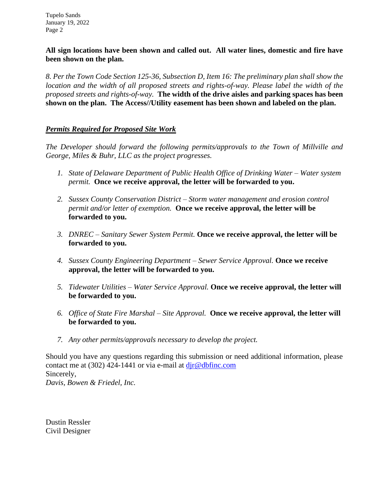Tupelo Sands January 19, 2022 Page 2

## **All sign locations have been shown and called out. All water lines, domestic and fire have been shown on the plan.**

*8. Per the Town Code Section 125-36, Subsection D, Item 16: The preliminary plan shall show the location and the width of all proposed streets and rights-of-way. Please label the width of the proposed streets and rights-of-way.* **The width of the drive aisles and parking spaces has been shown on the plan. The Access//Utility easement has been shown and labeled on the plan.**

# *Permits Required for Proposed Site Work*

*The Developer should forward the following permits/approvals to the Town of Millville and George, Miles & Buhr, LLC as the project progresses.*

- *1. State of Delaware Department of Public Health Office of Drinking Water – Water system permit.* **Once we receive approval, the letter will be forwarded to you.**
- *2. Sussex County Conservation District – Storm water management and erosion control permit and/or letter of exemption.* **Once we receive approval, the letter will be forwarded to you.**
- *3. DNREC – Sanitary Sewer System Permit.* **Once we receive approval, the letter will be forwarded to you.**
- *4. Sussex County Engineering Department – Sewer Service Approval.* **Once we receive approval, the letter will be forwarded to you.**
- *5. Tidewater Utilities – Water Service Approval.* **Once we receive approval, the letter will be forwarded to you.**
- *6. Office of State Fire Marshal – Site Approval.* **Once we receive approval, the letter will be forwarded to you.**
- *7. Any other permits/approvals necessary to develop the project.*

Should you have any questions regarding this submission or need additional information, please contact me at  $(302)$  424-1441 or via e-mail at  $\text{dir@dbfinc.com}$ Sincerely, *Davis, Bowen & Friedel, Inc.*

Dustin Ressler Civil Designer